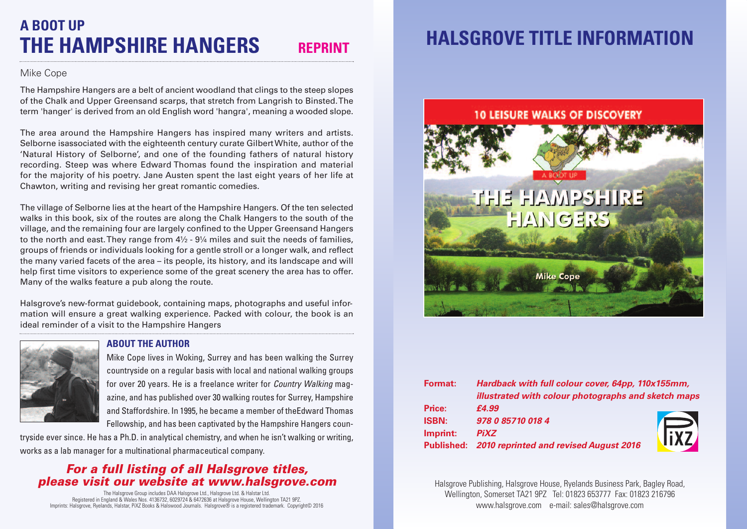# **A BOOT UP THE HAMPSHIRE HANGERS REPRINT**

### Mike Cope

The Hampshire Hangers are a belt of ancient woodland that clings to the steep slopes of the Chalk and Upper Greensand scarps, that stretch from Langrish to Binsted.The term 'hanger' is derived from an old English word 'hangra', meaning a wooded slope.

The area around the Hampshire Hangers has inspired many writers and artists. Selborne isassociated with the eighteenth century curate GilbertWhite, author of the 'Natural History of Selborne', and one of the founding fathers of natural history recording. Steep was where Edward Thomas found the inspiration and material for the majority of his poetry. Jane Austen spent the last eight years of her life at Chawton, writing and revising her great romantic comedies.

The village of Selborne lies at the heart of the Hampshire Hangers. Of the ten selected walks in this book, six of the routes are along the Chalk Hangers to the south of the village, and the remaining four are largely confined to the Upper Greensand Hangers to the north and east. They range from  $4\frac{1}{2}$  -  $9\frac{1}{4}$  miles and suit the needs of families, groups of friends or individuals looking for a gentle stroll or a longer walk, and reflect the many varied facets of the area – its people, its history, and its landscape and will help first time visitors to experience some of the great scenery the area has to offer. Many of the walks feature a pub along the route.

Halsgrove's new-format guidebook, containing maps, photographs and useful information will ensure a great walking experience. Packed with colour, the book is an ideal reminder of a visit to the Hampshire Hangers



### **ABOUT THE AUTHOR**

Mike Cope lives in Woking, Surrey and has been walking the Surrey countryside on a regular basis with local and national walking groups for over 20 years. He is a freelance writer for *Country Walking* magazine, and has published over 30 walking routes for Surrey, Hampshire and Staffordshire. In 1995, he became a member of theEdward Thomas Fellowship, and has been captivated by the Hampshire Hangers coun-

tryside ever since. He has a Ph.D. in analytical chemistry, and when he isn't walking or writing, works as a lab manager for a multinational pharmaceutical company.

## *For a full listing of all Halsgrove titles, please visit our website at www.halsgrove.com*

The Halsgrove Group includes DAA Halsgrove Ltd., Halsgrove Ltd. & Halstar Ltd.<br>Registered in England & Wales Nos. 4 136732, 6029724 & 6472636 at Halsgrove House, Wellington TA21 9PZ.<br>Imprints: Halsgrove, Ryelands, Halstar

# **HALSGROVE TITLE INFORMATION**



| Format:      | Hardback with full colour cover, 64pp, 110x155mm,   |                     |
|--------------|-----------------------------------------------------|---------------------|
|              | illustrated with colour photographs and sketch maps |                     |
| Price:       | £4.99                                               |                     |
| <b>ISBN:</b> | 978 0 85710 018 4                                   |                     |
| Imprint:     | <b>PiXZ</b>                                         | $\overline{l_1x_2}$ |
|              | Published: 2010 reprinted and revised August 2016   |                     |

Halsgrove Publishing, Halsgrove House, Ryelands Business Park, Bagley Road, Wellington, Somerset TA21 9PZ Tel: 01823 653777 Fax: 01823 216796 www.halsgrove.com e-mail: sales@halsgrove.com